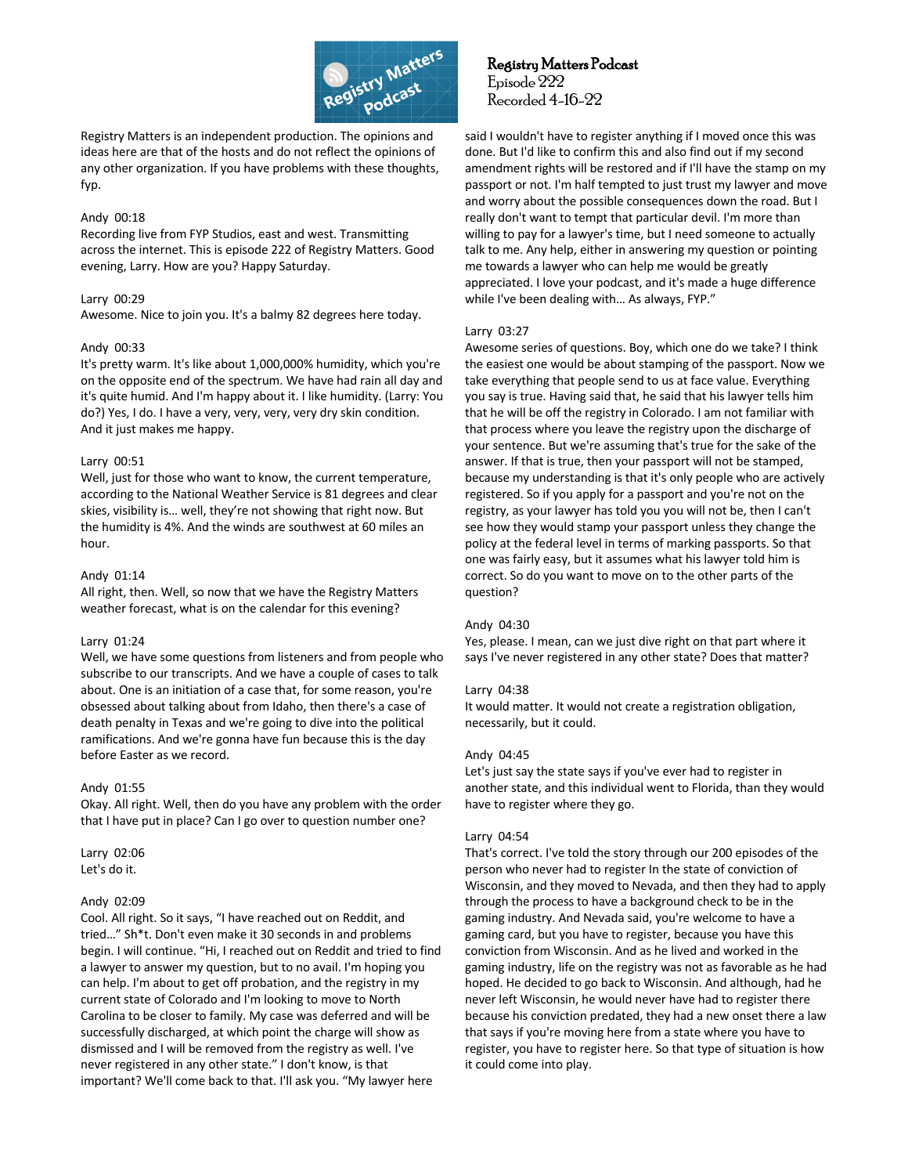

Registry Matters is an independent production. The opinions and ideas here are that of the hosts and do not reflect the opinions of any other organization. If you have problems with these thoughts, fyp.

# Andy 00:18

Recording live from FYP Studios, east and west. Transmitting across the internet. This is episode 222 of Registry Matters. Good evening, Larry. How are you? Happy Saturday.

# Larry 00:29

Awesome. Nice to join you. It's a balmy 82 degrees here today.

# Andy 00:33

It's pretty warm. It's like about 1,000,000% humidity, which you're on the opposite end of the spectrum. We have had rain all day and it's quite humid. And I'm happy about it. I like humidity. (Larry: You do?) Yes, I do. I have a very, very, very, very dry skin condition. And it just makes me happy.

# Larry 00:51

Well, just for those who want to know, the current temperature, according to the National Weather Service is 81 degrees and clear skies, visibility is… well, they're not showing that right now. But the humidity is 4%. And the winds are southwest at 60 miles an hour.

# Andy 01:14

All right, then. Well, so now that we have the Registry Matters weather forecast, what is on the calendar for this evening?

# Larry 01:24

Well, we have some questions from listeners and from people who subscribe to our transcripts. And we have a couple of cases to talk about. One is an initiation of a case that, for some reason, you're obsessed about talking about from Idaho, then there's a case of death penalty in Texas and we're going to dive into the political ramifications. And we're gonna have fun because this is the day before Easter as we record.

# Andy 01:55

Okay. All right. Well, then do you have any problem with the order that I have put in place? Can I go over to question number one?

Larry 02:06 Let's do it.

# Andy 02:09

Cool. All right. So it says, "I have reached out on Reddit, and tried…" Sh\*t. Don't even make it 30 seconds in and problems begin. I will continue. "Hi, I reached out on Reddit and tried to find a lawyer to answer my question, but to no avail. I'm hoping you can help. I'm about to get off probation, and the registry in my current state of Colorado and I'm looking to move to North Carolina to be closer to family. My case was deferred and will be successfully discharged, at which point the charge will show as dismissed and I will be removed from the registry as well. I've never registered in any other state." I don't know, is that important? We'll come back to that. I'll ask you. "My lawyer here

 Registry Matters Podcast Episode 222 Recorded 4-16-22

said I wouldn't have to register anything if I moved once this was done. But I'd like to confirm this and also find out if my second amendment rights will be restored and if I'll have the stamp on my passport or not. I'm half tempted to just trust my lawyer and move and worry about the possible consequences down the road. But I really don't want to tempt that particular devil. I'm more than willing to pay for a lawyer's time, but I need someone to actually talk to me. Any help, either in answering my question or pointing me towards a lawyer who can help me would be greatly appreciated. I love your podcast, and it's made a huge difference while I've been dealing with… As always, FYP."

# Larry 03:27

Awesome series of questions. Boy, which one do we take? I think the easiest one would be about stamping of the passport. Now we take everything that people send to us at face value. Everything you say is true. Having said that, he said that his lawyer tells him that he will be off the registry in Colorado. I am not familiar with that process where you leave the registry upon the discharge of your sentence. But we're assuming that's true for the sake of the answer. If that is true, then your passport will not be stamped, because my understanding is that it's only people who are actively registered. So if you apply for a passport and you're not on the registry, as your lawyer has told you you will not be, then I can't see how they would stamp your passport unless they change the policy at the federal level in terms of marking passports. So that one was fairly easy, but it assumes what his lawyer told him is correct. So do you want to move on to the other parts of the question?

# Andy 04:30

Yes, please. I mean, can we just dive right on that part where it says I've never registered in any other state? Does that matter?

# Larry 04:38

It would matter. It would not create a registration obligation, necessarily, but it could.

# Andy 04:45

Let's just say the state says if you've ever had to register in another state, and this individual went to Florida, than they would have to register where they go.

# Larry 04:54

That's correct. I've told the story through our 200 episodes of the person who never had to register In the state of conviction of Wisconsin, and they moved to Nevada, and then they had to apply through the process to have a background check to be in the gaming industry. And Nevada said, you're welcome to have a gaming card, but you have to register, because you have this conviction from Wisconsin. And as he lived and worked in the gaming industry, life on the registry was not as favorable as he had hoped. He decided to go back to Wisconsin. And although, had he never left Wisconsin, he would never have had to register there because his conviction predated, they had a new onset there a law that says if you're moving here from a state where you have to register, you have to register here. So that type of situation is how it could come into play.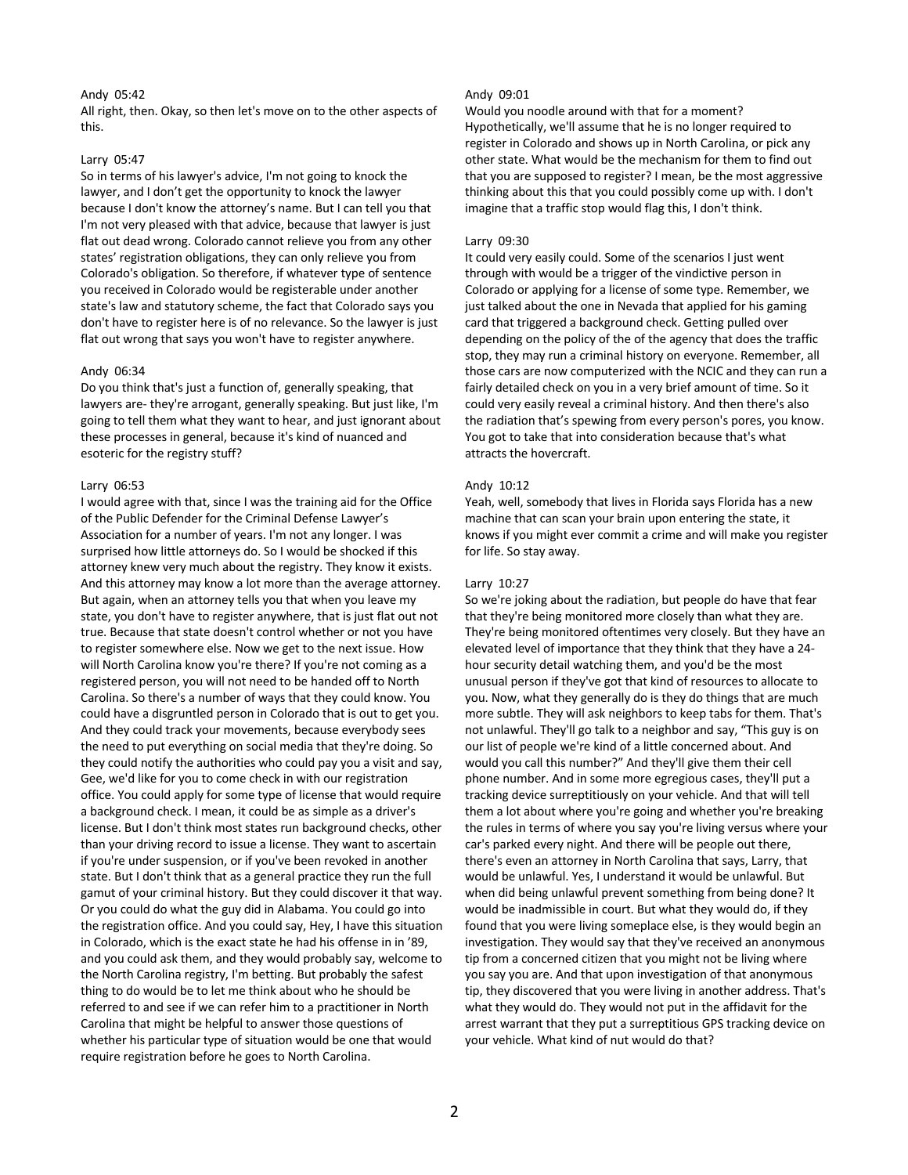# Andy 05:42

All right, then. Okay, so then let's move on to the other aspects of this.

### Larry 05:47

So in terms of his lawyer's advice, I'm not going to knock the lawyer, and I don't get the opportunity to knock the lawyer because I don't know the attorney's name. But I can tell you that I'm not very pleased with that advice, because that lawyer is just flat out dead wrong. Colorado cannot relieve you from any other states' registration obligations, they can only relieve you from Colorado's obligation. So therefore, if whatever type of sentence you received in Colorado would be registerable under another state's law and statutory scheme, the fact that Colorado says you don't have to register here is of no relevance. So the lawyer is just flat out wrong that says you won't have to register anywhere.

### Andy 06:34

Do you think that's just a function of, generally speaking, that lawyers are- they're arrogant, generally speaking. But just like, I'm going to tell them what they want to hear, and just ignorant about these processes in general, because it's kind of nuanced and esoteric for the registry stuff?

### Larry 06:53

I would agree with that, since I was the training aid for the Office of the Public Defender for the Criminal Defense Lawyer's Association for a number of years. I'm not any longer. I was surprised how little attorneys do. So I would be shocked if this attorney knew very much about the registry. They know it exists. And this attorney may know a lot more than the average attorney. But again, when an attorney tells you that when you leave my state, you don't have to register anywhere, that is just flat out not true. Because that state doesn't control whether or not you have to register somewhere else. Now we get to the next issue. How will North Carolina know you're there? If you're not coming as a registered person, you will not need to be handed off to North Carolina. So there's a number of ways that they could know. You could have a disgruntled person in Colorado that is out to get you. And they could track your movements, because everybody sees the need to put everything on social media that they're doing. So they could notify the authorities who could pay you a visit and say, Gee, we'd like for you to come check in with our registration office. You could apply for some type of license that would require a background check. I mean, it could be as simple as a driver's license. But I don't think most states run background checks, other than your driving record to issue a license. They want to ascertain if you're under suspension, or if you've been revoked in another state. But I don't think that as a general practice they run the full gamut of your criminal history. But they could discover it that way. Or you could do what the guy did in Alabama. You could go into the registration office. And you could say, Hey, I have this situation in Colorado, which is the exact state he had his offense in in '89, and you could ask them, and they would probably say, welcome to the North Carolina registry, I'm betting. But probably the safest thing to do would be to let me think about who he should be referred to and see if we can refer him to a practitioner in North Carolina that might be helpful to answer those questions of whether his particular type of situation would be one that would require registration before he goes to North Carolina.

# Andy 09:01

Would you noodle around with that for a moment? Hypothetically, we'll assume that he is no longer required to register in Colorado and shows up in North Carolina, or pick any other state. What would be the mechanism for them to find out that you are supposed to register? I mean, be the most aggressive thinking about this that you could possibly come up with. I don't imagine that a traffic stop would flag this, I don't think.

### Larry 09:30

It could very easily could. Some of the scenarios I just went through with would be a trigger of the vindictive person in Colorado or applying for a license of some type. Remember, we just talked about the one in Nevada that applied for his gaming card that triggered a background check. Getting pulled over depending on the policy of the of the agency that does the traffic stop, they may run a criminal history on everyone. Remember, all those cars are now computerized with the NCIC and they can run a fairly detailed check on you in a very brief amount of time. So it could very easily reveal a criminal history. And then there's also the radiation that's spewing from every person's pores, you know. You got to take that into consideration because that's what attracts the hovercraft.

### Andy 10:12

Yeah, well, somebody that lives in Florida says Florida has a new machine that can scan your brain upon entering the state, it knows if you might ever commit a crime and will make you register for life. So stay away.

### Larry 10:27

So we're joking about the radiation, but people do have that fear that they're being monitored more closely than what they are. They're being monitored oftentimes very closely. But they have an elevated level of importance that they think that they have a 24 hour security detail watching them, and you'd be the most unusual person if they've got that kind of resources to allocate to you. Now, what they generally do is they do things that are much more subtle. They will ask neighbors to keep tabs for them. That's not unlawful. They'll go talk to a neighbor and say, "This guy is on our list of people we're kind of a little concerned about. And would you call this number?" And they'll give them their cell phone number. And in some more egregious cases, they'll put a tracking device surreptitiously on your vehicle. And that will tell them a lot about where you're going and whether you're breaking the rules in terms of where you say you're living versus where your car's parked every night. And there will be people out there, there's even an attorney in North Carolina that says, Larry, that would be unlawful. Yes, I understand it would be unlawful. But when did being unlawful prevent something from being done? It would be inadmissible in court. But what they would do, if they found that you were living someplace else, is they would begin an investigation. They would say that they've received an anonymous tip from a concerned citizen that you might not be living where you say you are. And that upon investigation of that anonymous tip, they discovered that you were living in another address. That's what they would do. They would not put in the affidavit for the arrest warrant that they put a surreptitious GPS tracking device on your vehicle. What kind of nut would do that?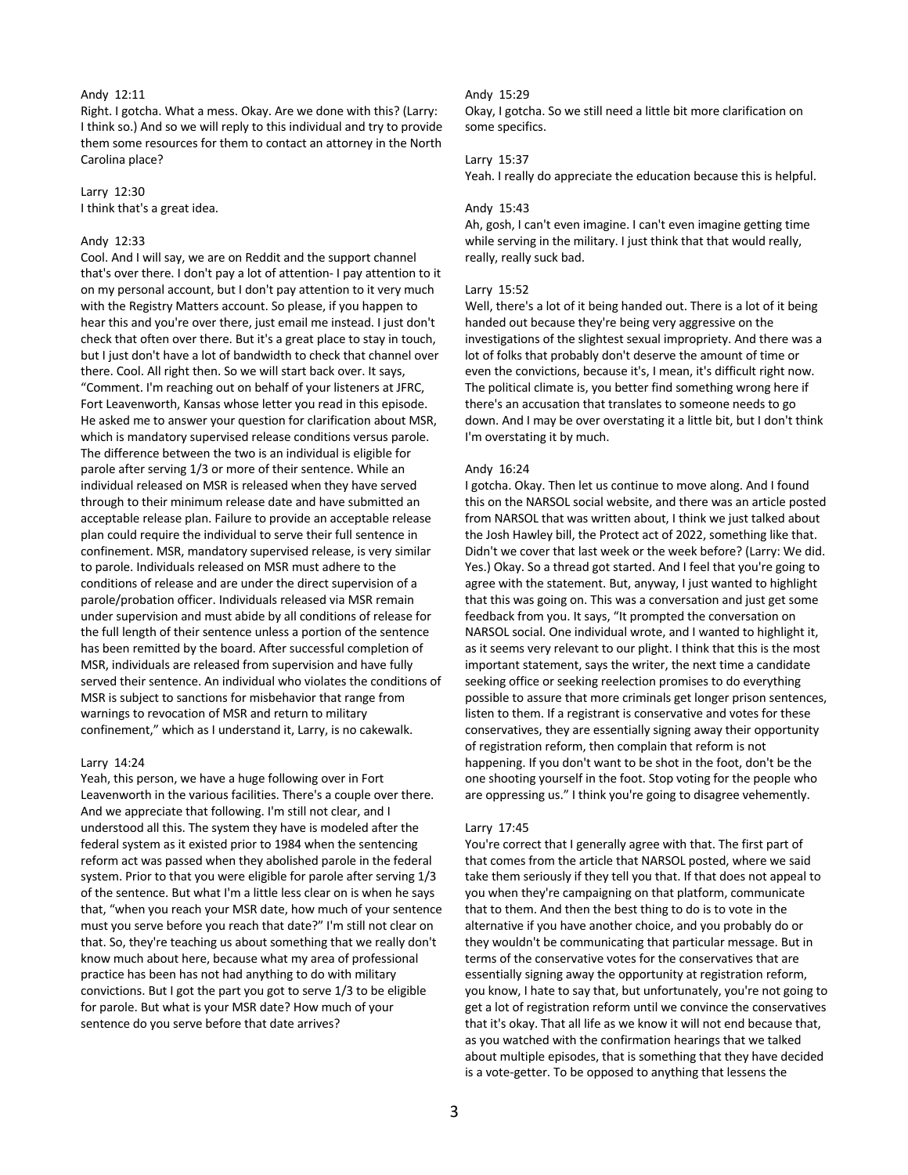# Andy 12:11

Right. I gotcha. What a mess. Okay. Are we done with this? (Larry: I think so.) And so we will reply to this individual and try to provide them some resources for them to contact an attorney in the North Carolina place?

Larry 12:30 I think that's a great idea.

# Andy 12:33

Cool. And I will say, we are on Reddit and the support channel that's over there. I don't pay a lot of attention- I pay attention to it on my personal account, but I don't pay attention to it very much with the Registry Matters account. So please, if you happen to hear this and you're over there, just email me instead. I just don't check that often over there. But it's a great place to stay in touch, but I just don't have a lot of bandwidth to check that channel over there. Cool. All right then. So we will start back over. It says, "Comment. I'm reaching out on behalf of your listeners at JFRC, Fort Leavenworth, Kansas whose letter you read in this episode. He asked me to answer your question for clarification about MSR, which is mandatory supervised release conditions versus parole. The difference between the two is an individual is eligible for parole after serving 1/3 or more of their sentence. While an individual released on MSR is released when they have served through to their minimum release date and have submitted an acceptable release plan. Failure to provide an acceptable release plan could require the individual to serve their full sentence in confinement. MSR, mandatory supervised release, is very similar to parole. Individuals released on MSR must adhere to the conditions of release and are under the direct supervision of a parole/probation officer. Individuals released via MSR remain under supervision and must abide by all conditions of release for the full length of their sentence unless a portion of the sentence has been remitted by the board. After successful completion of MSR, individuals are released from supervision and have fully served their sentence. An individual who violates the conditions of MSR is subject to sanctions for misbehavior that range from warnings to revocation of MSR and return to military confinement," which as I understand it, Larry, is no cakewalk.

#### Larry 14:24

Yeah, this person, we have a huge following over in Fort Leavenworth in the various facilities. There's a couple over there. And we appreciate that following. I'm still not clear, and I understood all this. The system they have is modeled after the federal system as it existed prior to 1984 when the sentencing reform act was passed when they abolished parole in the federal system. Prior to that you were eligible for parole after serving 1/3 of the sentence. But what I'm a little less clear on is when he says that, "when you reach your MSR date, how much of your sentence must you serve before you reach that date?" I'm still not clear on that. So, they're teaching us about something that we really don't know much about here, because what my area of professional practice has been has not had anything to do with military convictions. But I got the part you got to serve 1/3 to be eligible for parole. But what is your MSR date? How much of your sentence do you serve before that date arrives?

### Andy 15:29

Okay, I gotcha. So we still need a little bit more clarification on some specifics.

### Larry 15:37

Yeah. I really do appreciate the education because this is helpful.

#### Andy 15:43

Ah, gosh, I can't even imagine. I can't even imagine getting time while serving in the military. I just think that that would really, really, really suck bad.

### Larry 15:52

Well, there's a lot of it being handed out. There is a lot of it being handed out because they're being very aggressive on the investigations of the slightest sexual impropriety. And there was a lot of folks that probably don't deserve the amount of time or even the convictions, because it's, I mean, it's difficult right now. The political climate is, you better find something wrong here if there's an accusation that translates to someone needs to go down. And I may be over overstating it a little bit, but I don't think I'm overstating it by much.

#### Andy 16:24

I gotcha. Okay. Then let us continue to move along. And I found this on the NARSOL social website, and there was an article posted from NARSOL that was written about, I think we just talked about the Josh Hawley bill, the Protect act of 2022, something like that. Didn't we cover that last week or the week before? (Larry: We did. Yes.) Okay. So a thread got started. And I feel that you're going to agree with the statement. But, anyway, I just wanted to highlight that this was going on. This was a conversation and just get some feedback from you. It says, "It prompted the conversation on NARSOL social. One individual wrote, and I wanted to highlight it, as it seems very relevant to our plight. I think that this is the most important statement, says the writer, the next time a candidate seeking office or seeking reelection promises to do everything possible to assure that more criminals get longer prison sentences, listen to them. If a registrant is conservative and votes for these conservatives, they are essentially signing away their opportunity of registration reform, then complain that reform is not happening. If you don't want to be shot in the foot, don't be the one shooting yourself in the foot. Stop voting for the people who are oppressing us." I think you're going to disagree vehemently.

#### Larry 17:45

You're correct that I generally agree with that. The first part of that comes from the article that NARSOL posted, where we said take them seriously if they tell you that. If that does not appeal to you when they're campaigning on that platform, communicate that to them. And then the best thing to do is to vote in the alternative if you have another choice, and you probably do or they wouldn't be communicating that particular message. But in terms of the conservative votes for the conservatives that are essentially signing away the opportunity at registration reform, you know, I hate to say that, but unfortunately, you're not going to get a lot of registration reform until we convince the conservatives that it's okay. That all life as we know it will not end because that, as you watched with the confirmation hearings that we talked about multiple episodes, that is something that they have decided is a vote-getter. To be opposed to anything that lessens the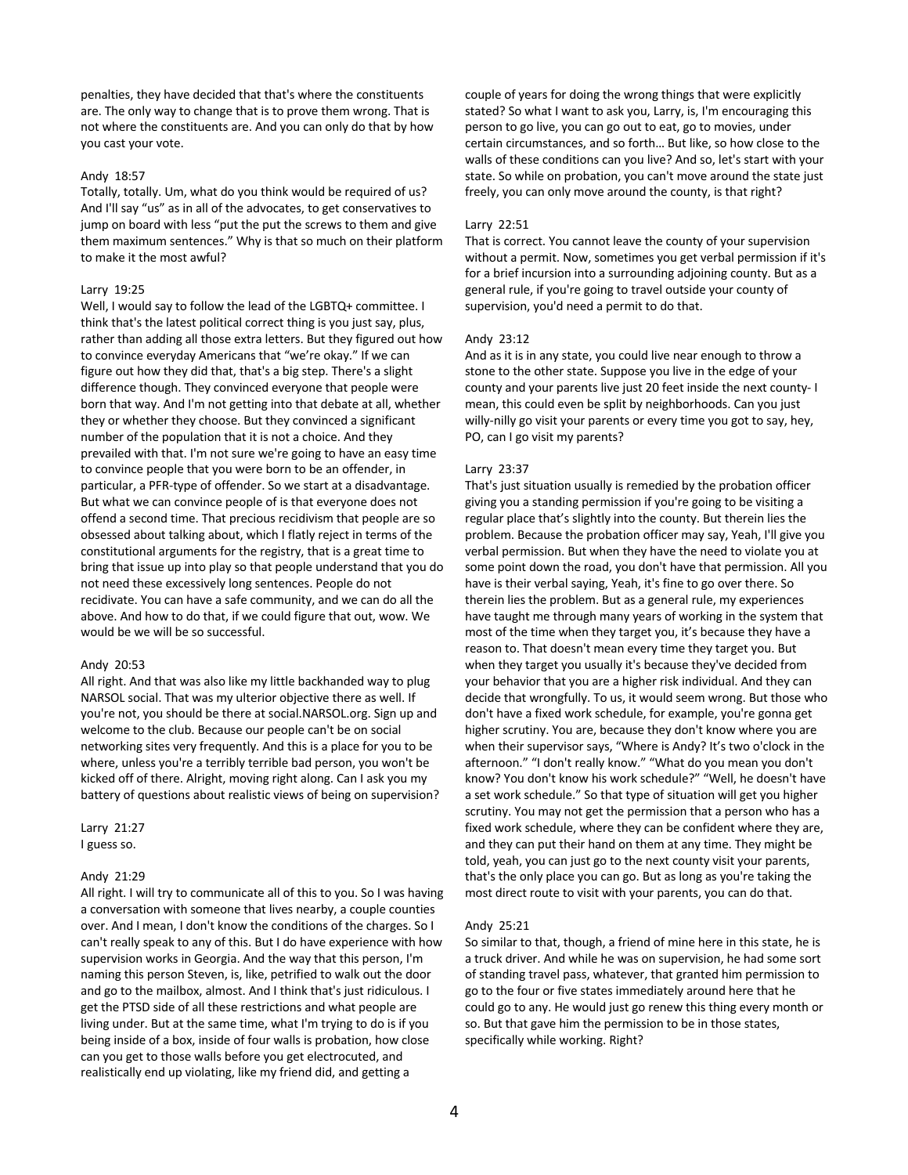penalties, they have decided that that's where the constituents are. The only way to change that is to prove them wrong. That is not where the constituents are. And you can only do that by how you cast your vote.

### Andy 18:57

Totally, totally. Um, what do you think would be required of us? And I'll say "us" as in all of the advocates, to get conservatives to jump on board with less "put the put the screws to them and give them maximum sentences." Why is that so much on their platform to make it the most awful?

# Larry 19:25

Well, I would say to follow the lead of the LGBTQ+ committee. I think that's the latest political correct thing is you just say, plus, rather than adding all those extra letters. But they figured out how to convince everyday Americans that "we're okay." If we can figure out how they did that, that's a big step. There's a slight difference though. They convinced everyone that people were born that way. And I'm not getting into that debate at all, whether they or whether they choose. But they convinced a significant number of the population that it is not a choice. And they prevailed with that. I'm not sure we're going to have an easy time to convince people that you were born to be an offender, in particular, a PFR-type of offender. So we start at a disadvantage. But what we can convince people of is that everyone does not offend a second time. That precious recidivism that people are so obsessed about talking about, which I flatly reject in terms of the constitutional arguments for the registry, that is a great time to bring that issue up into play so that people understand that you do not need these excessively long sentences. People do not recidivate. You can have a safe community, and we can do all the above. And how to do that, if we could figure that out, wow. We would be we will be so successful.

#### Andy 20:53

All right. And that was also like my little backhanded way to plug NARSOL social. That was my ulterior objective there as well. If you're not, you should be there at social.NARSOL.org. Sign up and welcome to the club. Because our people can't be on social networking sites very frequently. And this is a place for you to be where, unless you're a terribly terrible bad person, you won't be kicked off of there. Alright, moving right along. Can I ask you my battery of questions about realistic views of being on supervision?

### Larry 21:27 I guess so.

#### Andy 21:29

All right. I will try to communicate all of this to you. So I was having a conversation with someone that lives nearby, a couple counties over. And I mean, I don't know the conditions of the charges. So I can't really speak to any of this. But I do have experience with how supervision works in Georgia. And the way that this person, I'm naming this person Steven, is, like, petrified to walk out the door and go to the mailbox, almost. And I think that's just ridiculous. I get the PTSD side of all these restrictions and what people are living under. But at the same time, what I'm trying to do is if you being inside of a box, inside of four walls is probation, how close can you get to those walls before you get electrocuted, and realistically end up violating, like my friend did, and getting a

couple of years for doing the wrong things that were explicitly stated? So what I want to ask you, Larry, is, I'm encouraging this person to go live, you can go out to eat, go to movies, under certain circumstances, and so forth… But like, so how close to the walls of these conditions can you live? And so, let's start with your state. So while on probation, you can't move around the state just freely, you can only move around the county, is that right?

### Larry 22:51

That is correct. You cannot leave the county of your supervision without a permit. Now, sometimes you get verbal permission if it's for a brief incursion into a surrounding adjoining county. But as a general rule, if you're going to travel outside your county of supervision, you'd need a permit to do that.

### Andy 23:12

And as it is in any state, you could live near enough to throw a stone to the other state. Suppose you live in the edge of your county and your parents live just 20 feet inside the next county- I mean, this could even be split by neighborhoods. Can you just willy-nilly go visit your parents or every time you got to say, hey, PO, can I go visit my parents?

### Larry 23:37

That's just situation usually is remedied by the probation officer giving you a standing permission if you're going to be visiting a regular place that's slightly into the county. But therein lies the problem. Because the probation officer may say, Yeah, I'll give you verbal permission. But when they have the need to violate you at some point down the road, you don't have that permission. All you have is their verbal saying, Yeah, it's fine to go over there. So therein lies the problem. But as a general rule, my experiences have taught me through many years of working in the system that most of the time when they target you, it's because they have a reason to. That doesn't mean every time they target you. But when they target you usually it's because they've decided from your behavior that you are a higher risk individual. And they can decide that wrongfully. To us, it would seem wrong. But those who don't have a fixed work schedule, for example, you're gonna get higher scrutiny. You are, because they don't know where you are when their supervisor says, "Where is Andy? It's two o'clock in the afternoon." "I don't really know." "What do you mean you don't know? You don't know his work schedule?" "Well, he doesn't have a set work schedule." So that type of situation will get you higher scrutiny. You may not get the permission that a person who has a fixed work schedule, where they can be confident where they are, and they can put their hand on them at any time. They might be told, yeah, you can just go to the next county visit your parents, that's the only place you can go. But as long as you're taking the most direct route to visit with your parents, you can do that.

#### Andy 25:21

So similar to that, though, a friend of mine here in this state, he is a truck driver. And while he was on supervision, he had some sort of standing travel pass, whatever, that granted him permission to go to the four or five states immediately around here that he could go to any. He would just go renew this thing every month or so. But that gave him the permission to be in those states, specifically while working. Right?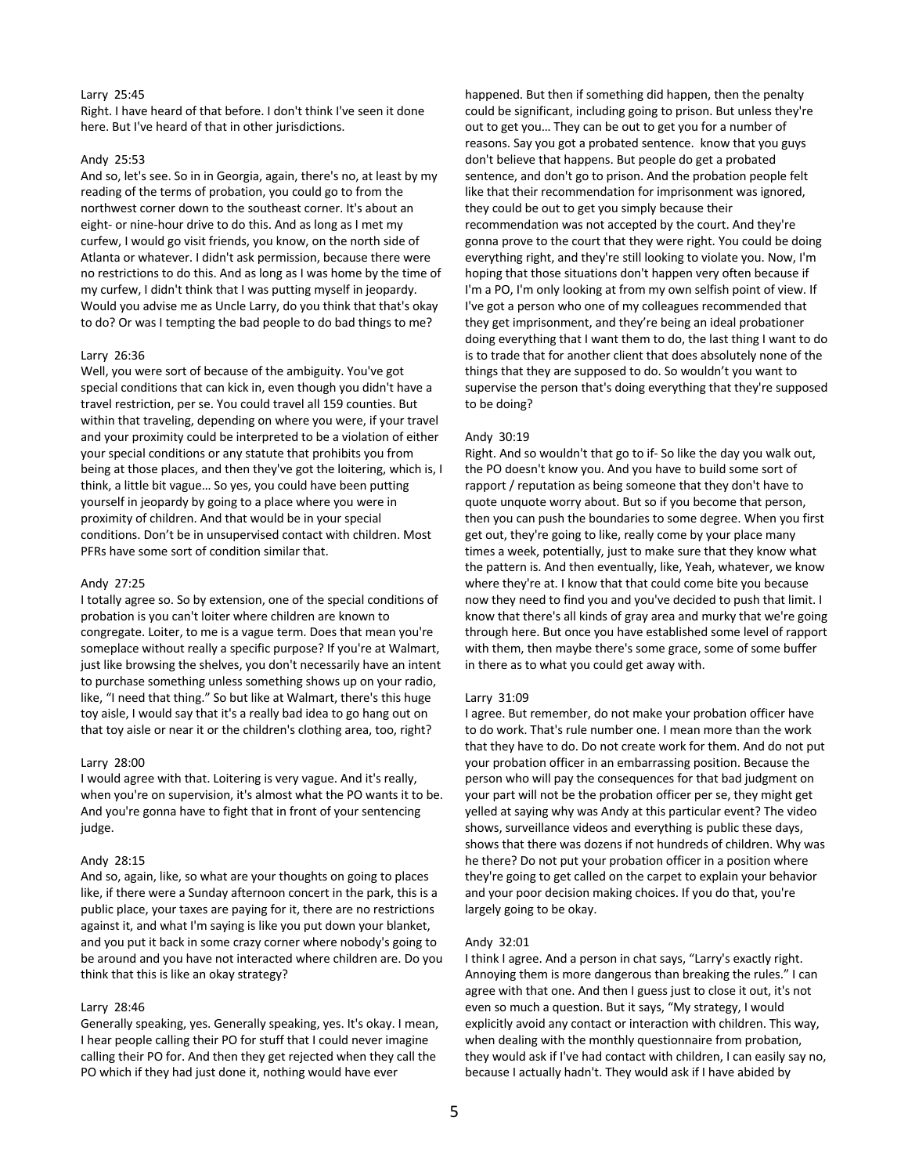# Larry 25:45

Right. I have heard of that before. I don't think I've seen it done here. But I've heard of that in other jurisdictions.

# Andy 25:53

And so, let's see. So in in Georgia, again, there's no, at least by my reading of the terms of probation, you could go to from the northwest corner down to the southeast corner. It's about an eight- or nine-hour drive to do this. And as long as I met my curfew, I would go visit friends, you know, on the north side of Atlanta or whatever. I didn't ask permission, because there were no restrictions to do this. And as long as I was home by the time of my curfew, I didn't think that I was putting myself in jeopardy. Would you advise me as Uncle Larry, do you think that that's okay to do? Or was I tempting the bad people to do bad things to me?

#### Larry 26:36

Well, you were sort of because of the ambiguity. You've got special conditions that can kick in, even though you didn't have a travel restriction, per se. You could travel all 159 counties. But within that traveling, depending on where you were, if your travel and your proximity could be interpreted to be a violation of either your special conditions or any statute that prohibits you from being at those places, and then they've got the loitering, which is, I think, a little bit vague… So yes, you could have been putting yourself in jeopardy by going to a place where you were in proximity of children. And that would be in your special conditions. Don't be in unsupervised contact with children. Most PFRs have some sort of condition similar that.

### Andy 27:25

I totally agree so. So by extension, one of the special conditions of probation is you can't loiter where children are known to congregate. Loiter, to me is a vague term. Does that mean you're someplace without really a specific purpose? If you're at Walmart, just like browsing the shelves, you don't necessarily have an intent to purchase something unless something shows up on your radio, like, "I need that thing." So but like at Walmart, there's this huge toy aisle, I would say that it's a really bad idea to go hang out on that toy aisle or near it or the children's clothing area, too, right?

### Larry 28:00

I would agree with that. Loitering is very vague. And it's really, when you're on supervision, it's almost what the PO wants it to be. And you're gonna have to fight that in front of your sentencing judge.

#### Andy 28:15

And so, again, like, so what are your thoughts on going to places like, if there were a Sunday afternoon concert in the park, this is a public place, your taxes are paying for it, there are no restrictions against it, and what I'm saying is like you put down your blanket, and you put it back in some crazy corner where nobody's going to be around and you have not interacted where children are. Do you think that this is like an okay strategy?

# Larry 28:46

Generally speaking, yes. Generally speaking, yes. It's okay. I mean, I hear people calling their PO for stuff that I could never imagine calling their PO for. And then they get rejected when they call the PO which if they had just done it, nothing would have ever

happened. But then if something did happen, then the penalty could be significant, including going to prison. But unless they're out to get you… They can be out to get you for a number of reasons. Say you got a probated sentence. know that you guys don't believe that happens. But people do get a probated sentence, and don't go to prison. And the probation people felt like that their recommendation for imprisonment was ignored, they could be out to get you simply because their recommendation was not accepted by the court. And they're gonna prove to the court that they were right. You could be doing everything right, and they're still looking to violate you. Now, I'm hoping that those situations don't happen very often because if I'm a PO, I'm only looking at from my own selfish point of view. If I've got a person who one of my colleagues recommended that they get imprisonment, and they're being an ideal probationer doing everything that I want them to do, the last thing I want to do is to trade that for another client that does absolutely none of the things that they are supposed to do. So wouldn't you want to supervise the person that's doing everything that they're supposed to be doing?

### Andy 30:19

Right. And so wouldn't that go to if- So like the day you walk out, the PO doesn't know you. And you have to build some sort of rapport / reputation as being someone that they don't have to quote unquote worry about. But so if you become that person, then you can push the boundaries to some degree. When you first get out, they're going to like, really come by your place many times a week, potentially, just to make sure that they know what the pattern is. And then eventually, like, Yeah, whatever, we know where they're at. I know that that could come bite you because now they need to find you and you've decided to push that limit. I know that there's all kinds of gray area and murky that we're going through here. But once you have established some level of rapport with them, then maybe there's some grace, some of some buffer in there as to what you could get away with.

#### Larry 31:09

I agree. But remember, do not make your probation officer have to do work. That's rule number one. I mean more than the work that they have to do. Do not create work for them. And do not put your probation officer in an embarrassing position. Because the person who will pay the consequences for that bad judgment on your part will not be the probation officer per se, they might get yelled at saying why was Andy at this particular event? The video shows, surveillance videos and everything is public these days, shows that there was dozens if not hundreds of children. Why was he there? Do not put your probation officer in a position where they're going to get called on the carpet to explain your behavior and your poor decision making choices. If you do that, you're largely going to be okay.

#### Andy 32:01

I think I agree. And a person in chat says, "Larry's exactly right. Annoying them is more dangerous than breaking the rules." I can agree with that one. And then I guess just to close it out, it's not even so much a question. But it says, "My strategy, I would explicitly avoid any contact or interaction with children. This way, when dealing with the monthly questionnaire from probation, they would ask if I've had contact with children, I can easily say no, because I actually hadn't. They would ask if I have abided by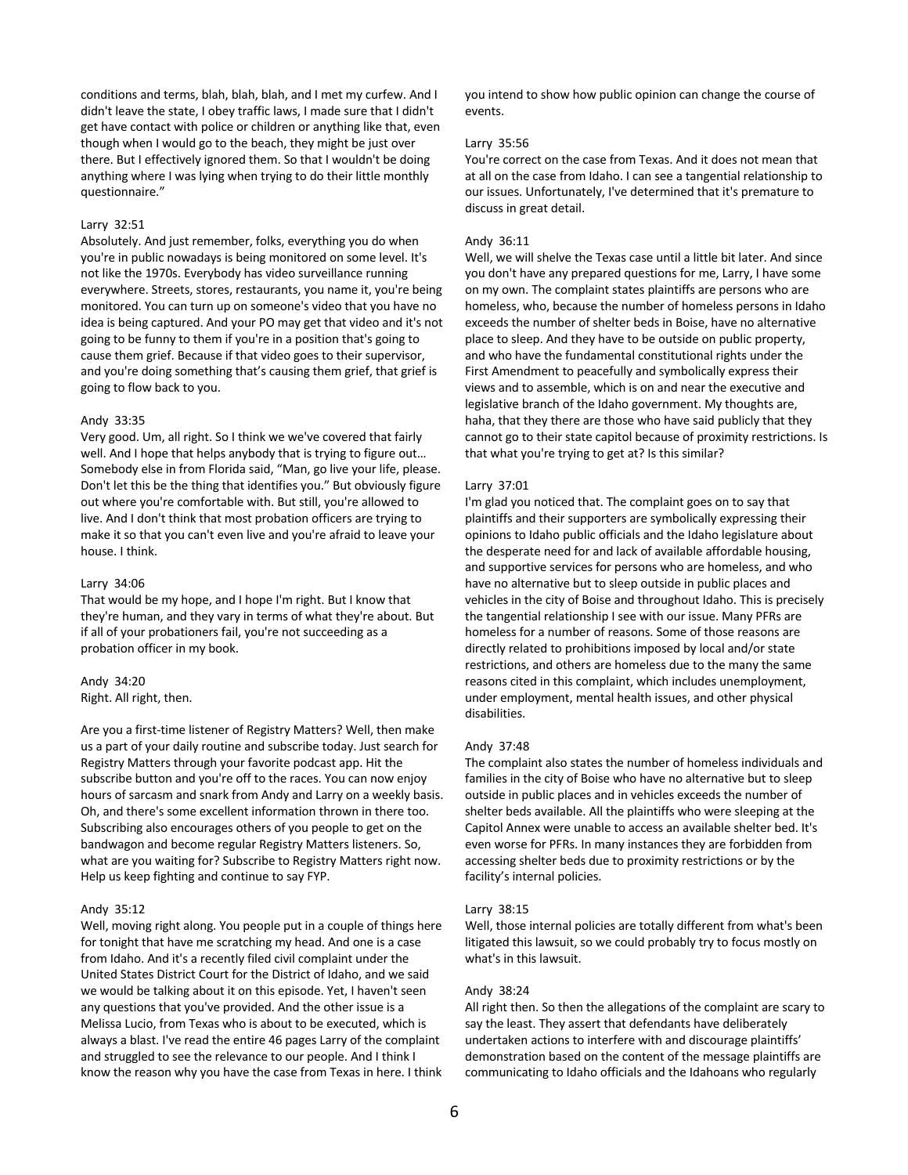conditions and terms, blah, blah, blah, and I met my curfew. And I didn't leave the state, I obey traffic laws, I made sure that I didn't get have contact with police or children or anything like that, even though when I would go to the beach, they might be just over there. But I effectively ignored them. So that I wouldn't be doing anything where I was lying when trying to do their little monthly questionnaire."

### Larry 32:51

Absolutely. And just remember, folks, everything you do when you're in public nowadays is being monitored on some level. It's not like the 1970s. Everybody has video surveillance running everywhere. Streets, stores, restaurants, you name it, you're being monitored. You can turn up on someone's video that you have no idea is being captured. And your PO may get that video and it's not going to be funny to them if you're in a position that's going to cause them grief. Because if that video goes to their supervisor, and you're doing something that's causing them grief, that grief is going to flow back to you.

#### Andy 33:35

Very good. Um, all right. So I think we we've covered that fairly well. And I hope that helps anybody that is trying to figure out… Somebody else in from Florida said, "Man, go live your life, please. Don't let this be the thing that identifies you." But obviously figure out where you're comfortable with. But still, you're allowed to live. And I don't think that most probation officers are trying to make it so that you can't even live and you're afraid to leave your house. I think.

### Larry 34:06

That would be my hope, and I hope I'm right. But I know that they're human, and they vary in terms of what they're about. But if all of your probationers fail, you're not succeeding as a probation officer in my book.

### Andy 34:20 Right. All right, then.

Are you a first-time listener of Registry Matters? Well, then make us a part of your daily routine and subscribe today. Just search for Registry Matters through your favorite podcast app. Hit the subscribe button and you're off to the races. You can now enjoy hours of sarcasm and snark from Andy and Larry on a weekly basis. Oh, and there's some excellent information thrown in there too. Subscribing also encourages others of you people to get on the bandwagon and become regular Registry Matters listeners. So, what are you waiting for? Subscribe to Registry Matters right now. Help us keep fighting and continue to say FYP.

### Andy 35:12

Well, moving right along. You people put in a couple of things here for tonight that have me scratching my head. And one is a case from Idaho. And it's a recently filed civil complaint under the United States District Court for the District of Idaho, and we said we would be talking about it on this episode. Yet, I haven't seen any questions that you've provided. And the other issue is a Melissa Lucio, from Texas who is about to be executed, which is always a blast. I've read the entire 46 pages Larry of the complaint and struggled to see the relevance to our people. And I think I know the reason why you have the case from Texas in here. I think you intend to show how public opinion can change the course of events.

### Larry 35:56

You're correct on the case from Texas. And it does not mean that at all on the case from Idaho. I can see a tangential relationship to our issues. Unfortunately, I've determined that it's premature to discuss in great detail.

### Andy 36:11

Well, we will shelve the Texas case until a little bit later. And since you don't have any prepared questions for me, Larry, I have some on my own. The complaint states plaintiffs are persons who are homeless, who, because the number of homeless persons in Idaho exceeds the number of shelter beds in Boise, have no alternative place to sleep. And they have to be outside on public property, and who have the fundamental constitutional rights under the First Amendment to peacefully and symbolically express their views and to assemble, which is on and near the executive and legislative branch of the Idaho government. My thoughts are, haha, that they there are those who have said publicly that they cannot go to their state capitol because of proximity restrictions. Is that what you're trying to get at? Is this similar?

#### Larry 37:01

I'm glad you noticed that. The complaint goes on to say that plaintiffs and their supporters are symbolically expressing their opinions to Idaho public officials and the Idaho legislature about the desperate need for and lack of available affordable housing, and supportive services for persons who are homeless, and who have no alternative but to sleep outside in public places and vehicles in the city of Boise and throughout Idaho. This is precisely the tangential relationship I see with our issue. Many PFRs are homeless for a number of reasons. Some of those reasons are directly related to prohibitions imposed by local and/or state restrictions, and others are homeless due to the many the same reasons cited in this complaint, which includes unemployment, under employment, mental health issues, and other physical disabilities.

#### Andy 37:48

The complaint also states the number of homeless individuals and families in the city of Boise who have no alternative but to sleep outside in public places and in vehicles exceeds the number of shelter beds available. All the plaintiffs who were sleeping at the Capitol Annex were unable to access an available shelter bed. It's even worse for PFRs. In many instances they are forbidden from accessing shelter beds due to proximity restrictions or by the facility's internal policies.

### Larry 38:15

Well, those internal policies are totally different from what's been litigated this lawsuit, so we could probably try to focus mostly on what's in this lawsuit.

### Andy 38:24

All right then. So then the allegations of the complaint are scary to say the least. They assert that defendants have deliberately undertaken actions to interfere with and discourage plaintiffs' demonstration based on the content of the message plaintiffs are communicating to Idaho officials and the Idahoans who regularly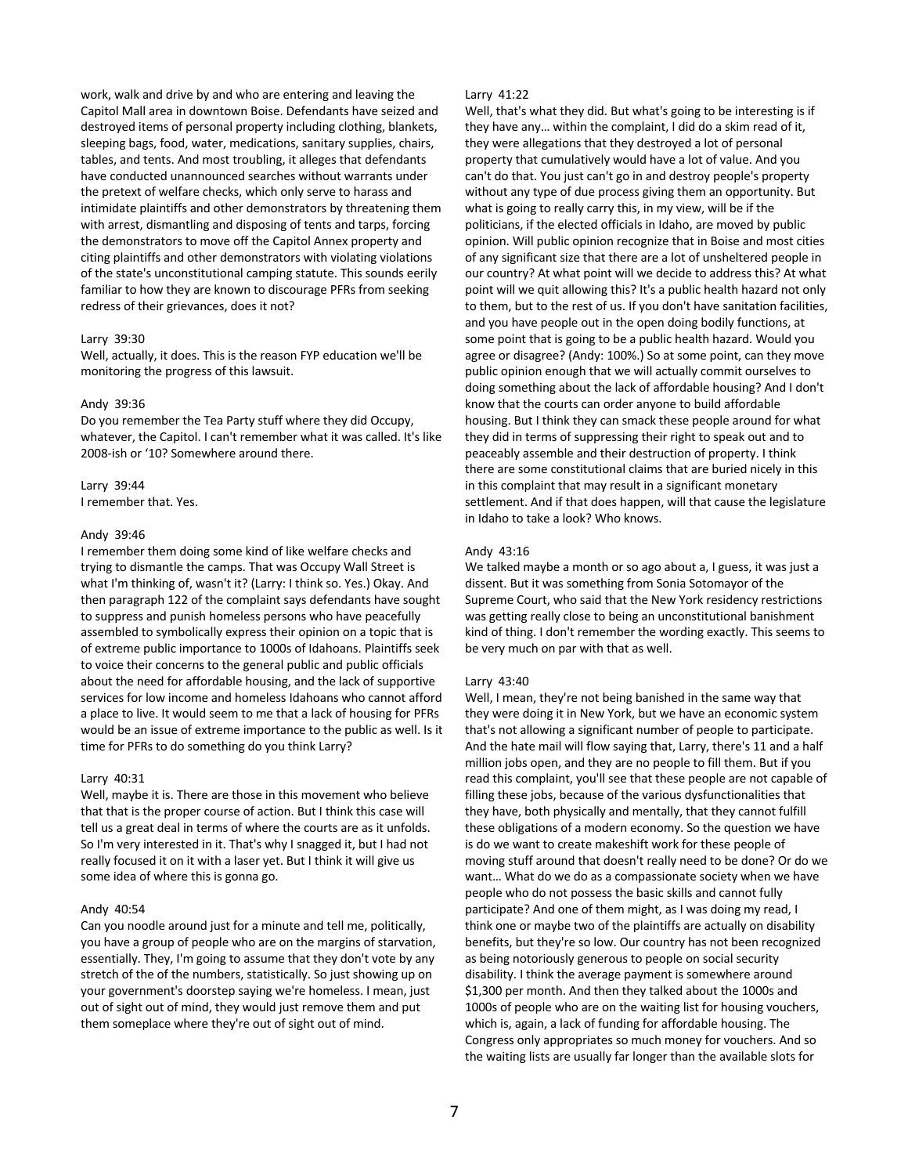work, walk and drive by and who are entering and leaving the Capitol Mall area in downtown Boise. Defendants have seized and destroyed items of personal property including clothing, blankets, sleeping bags, food, water, medications, sanitary supplies, chairs, tables, and tents. And most troubling, it alleges that defendants have conducted unannounced searches without warrants under the pretext of welfare checks, which only serve to harass and intimidate plaintiffs and other demonstrators by threatening them with arrest, dismantling and disposing of tents and tarps, forcing the demonstrators to move off the Capitol Annex property and citing plaintiffs and other demonstrators with violating violations of the state's unconstitutional camping statute. This sounds eerily familiar to how they are known to discourage PFRs from seeking redress of their grievances, does it not?

# Larry 39:30

Well, actually, it does. This is the reason FYP education we'll be monitoring the progress of this lawsuit.

#### Andy 39:36

Do you remember the Tea Party stuff where they did Occupy, whatever, the Capitol. I can't remember what it was called. It's like 2008-ish or '10? Somewhere around there.

### Larry 39:44

I remember that. Yes.

### Andy 39:46

I remember them doing some kind of like welfare checks and trying to dismantle the camps. That was Occupy Wall Street is what I'm thinking of, wasn't it? (Larry: I think so. Yes.) Okay. And then paragraph 122 of the complaint says defendants have sought to suppress and punish homeless persons who have peacefully assembled to symbolically express their opinion on a topic that is of extreme public importance to 1000s of Idahoans. Plaintiffs seek to voice their concerns to the general public and public officials about the need for affordable housing, and the lack of supportive services for low income and homeless Idahoans who cannot afford a place to live. It would seem to me that a lack of housing for PFRs would be an issue of extreme importance to the public as well. Is it time for PFRs to do something do you think Larry?

#### Larry 40:31

Well, maybe it is. There are those in this movement who believe that that is the proper course of action. But I think this case will tell us a great deal in terms of where the courts are as it unfolds. So I'm very interested in it. That's why I snagged it, but I had not really focused it on it with a laser yet. But I think it will give us some idea of where this is gonna go.

### Andy 40:54

Can you noodle around just for a minute and tell me, politically, you have a group of people who are on the margins of starvation, essentially. They, I'm going to assume that they don't vote by any stretch of the of the numbers, statistically. So just showing up on your government's doorstep saying we're homeless. I mean, just out of sight out of mind, they would just remove them and put them someplace where they're out of sight out of mind.

#### Larry 41:22

Well, that's what they did. But what's going to be interesting is if they have any… within the complaint, I did do a skim read of it, they were allegations that they destroyed a lot of personal property that cumulatively would have a lot of value. And you can't do that. You just can't go in and destroy people's property without any type of due process giving them an opportunity. But what is going to really carry this, in my view, will be if the politicians, if the elected officials in Idaho, are moved by public opinion. Will public opinion recognize that in Boise and most cities of any significant size that there are a lot of unsheltered people in our country? At what point will we decide to address this? At what point will we quit allowing this? It's a public health hazard not only to them, but to the rest of us. If you don't have sanitation facilities, and you have people out in the open doing bodily functions, at some point that is going to be a public health hazard. Would you agree or disagree? (Andy: 100%.) So at some point, can they move public opinion enough that we will actually commit ourselves to doing something about the lack of affordable housing? And I don't know that the courts can order anyone to build affordable housing. But I think they can smack these people around for what they did in terms of suppressing their right to speak out and to peaceably assemble and their destruction of property. I think there are some constitutional claims that are buried nicely in this in this complaint that may result in a significant monetary settlement. And if that does happen, will that cause the legislature in Idaho to take a look? Who knows.

#### Andy 43:16

We talked maybe a month or so ago about a, I guess, it was just a dissent. But it was something from Sonia Sotomayor of the Supreme Court, who said that the New York residency restrictions was getting really close to being an unconstitutional banishment kind of thing. I don't remember the wording exactly. This seems to be very much on par with that as well.

#### Larry 43:40

Well, I mean, they're not being banished in the same way that they were doing it in New York, but we have an economic system that's not allowing a significant number of people to participate. And the hate mail will flow saying that, Larry, there's 11 and a half million jobs open, and they are no people to fill them. But if you read this complaint, you'll see that these people are not capable of filling these jobs, because of the various dysfunctionalities that they have, both physically and mentally, that they cannot fulfill these obligations of a modern economy. So the question we have is do we want to create makeshift work for these people of moving stuff around that doesn't really need to be done? Or do we want… What do we do as a compassionate society when we have people who do not possess the basic skills and cannot fully participate? And one of them might, as I was doing my read, I think one or maybe two of the plaintiffs are actually on disability benefits, but they're so low. Our country has not been recognized as being notoriously generous to people on social security disability. I think the average payment is somewhere around \$1,300 per month. And then they talked about the 1000s and 1000s of people who are on the waiting list for housing vouchers, which is, again, a lack of funding for affordable housing. The Congress only appropriates so much money for vouchers. And so the waiting lists are usually far longer than the available slots for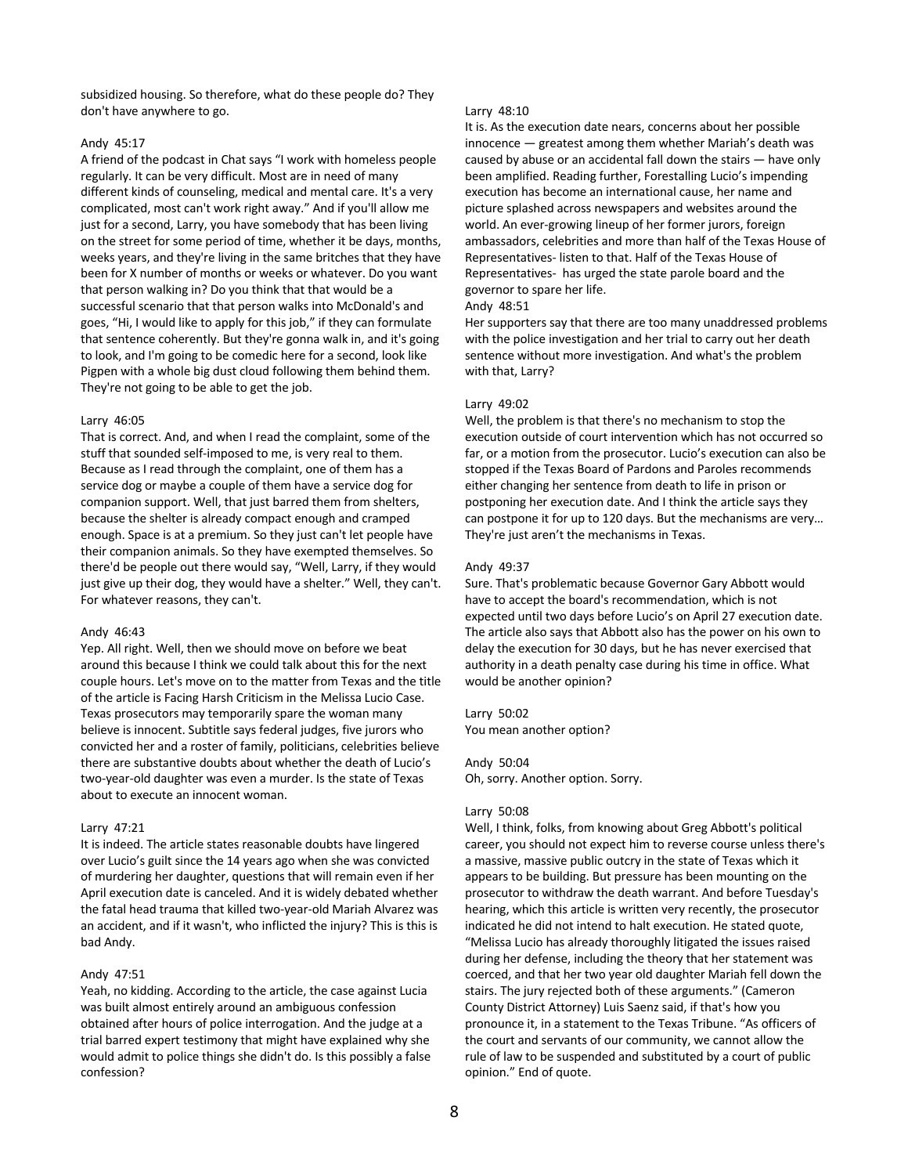subsidized housing. So therefore, what do these people do? They don't have anywhere to go.

# Andy 45:17

A friend of the podcast in Chat says "I work with homeless people regularly. It can be very difficult. Most are in need of many different kinds of counseling, medical and mental care. It's a very complicated, most can't work right away." And if you'll allow me just for a second, Larry, you have somebody that has been living on the street for some period of time, whether it be days, months, weeks years, and they're living in the same britches that they have been for X number of months or weeks or whatever. Do you want that person walking in? Do you think that that would be a successful scenario that that person walks into McDonald's and goes, "Hi, I would like to apply for this job," if they can formulate that sentence coherently. But they're gonna walk in, and it's going to look, and I'm going to be comedic here for a second, look like Pigpen with a whole big dust cloud following them behind them. They're not going to be able to get the job.

#### Larry 46:05

That is correct. And, and when I read the complaint, some of the stuff that sounded self-imposed to me, is very real to them. Because as I read through the complaint, one of them has a service dog or maybe a couple of them have a service dog for companion support. Well, that just barred them from shelters, because the shelter is already compact enough and cramped enough. Space is at a premium. So they just can't let people have their companion animals. So they have exempted themselves. So there'd be people out there would say, "Well, Larry, if they would just give up their dog, they would have a shelter." Well, they can't. For whatever reasons, they can't.

#### Andy 46:43

Yep. All right. Well, then we should move on before we beat around this because I think we could talk about this for the next couple hours. Let's move on to the matter from Texas and the title of the article is Facing Harsh Criticism in the Melissa Lucio Case. Texas prosecutors may temporarily spare the woman many believe is innocent. Subtitle says federal judges, five jurors who convicted her and a roster of family, politicians, celebrities believe there are substantive doubts about whether the death of Lucio's two-year-old daughter was even a murder. Is the state of Texas about to execute an innocent woman.

# Larry 47:21

It is indeed. The article states reasonable doubts have lingered over Lucio's guilt since the 14 years ago when she was convicted of murdering her daughter, questions that will remain even if her April execution date is canceled. And it is widely debated whether the fatal head trauma that killed two-year-old Mariah Alvarez was an accident, and if it wasn't, who inflicted the injury? This is this is bad Andy.

# Andy 47:51

Yeah, no kidding. According to the article, the case against Lucia was built almost entirely around an ambiguous confession obtained after hours of police interrogation. And the judge at a trial barred expert testimony that might have explained why she would admit to police things she didn't do. Is this possibly a false confession?

### Larry 48:10

It is. As the execution date nears, concerns about her possible innocence — greatest among them whether Mariah's death was caused by abuse or an accidental fall down the stairs — have only been amplified. Reading further, Forestalling Lucio's impending execution has become an international cause, her name and picture splashed across newspapers and websites around the world. An ever-growing lineup of her former jurors, foreign ambassadors, celebrities and more than half of the Texas House of Representatives- listen to that. Half of the Texas House of Representatives- has urged the state parole board and the governor to spare her life.

# Andy 48:51

Her supporters say that there are too many unaddressed problems with the police investigation and her trial to carry out her death sentence without more investigation. And what's the problem with that, Larry?

### Larry 49:02

Well, the problem is that there's no mechanism to stop the execution outside of court intervention which has not occurred so far, or a motion from the prosecutor. Lucio's execution can also be stopped if the Texas Board of Pardons and Paroles recommends either changing her sentence from death to life in prison or postponing her execution date. And I think the article says they can postpone it for up to 120 days. But the mechanisms are very… They're just aren't the mechanisms in Texas.

### Andy 49:37

Sure. That's problematic because Governor Gary Abbott would have to accept the board's recommendation, which is not expected until two days before Lucio's on April 27 execution date. The article also says that Abbott also has the power on his own to delay the execution for 30 days, but he has never exercised that authority in a death penalty case during his time in office. What would be another opinion?

# Larry 50:02

You mean another option?

### Andy 50:04

Oh, sorry. Another option. Sorry.

#### Larry 50:08

Well, I think, folks, from knowing about Greg Abbott's political career, you should not expect him to reverse course unless there's a massive, massive public outcry in the state of Texas which it appears to be building. But pressure has been mounting on the prosecutor to withdraw the death warrant. And before Tuesday's hearing, which this article is written very recently, the prosecutor indicated he did not intend to halt execution. He stated quote, "Melissa Lucio has already thoroughly litigated the issues raised during her defense, including the theory that her statement was coerced, and that her two year old daughter Mariah fell down the stairs. The jury rejected both of these arguments." (Cameron County District Attorney) Luis Saenz said, if that's how you pronounce it, in a statement to the Texas Tribune. "As officers of the court and servants of our community, we cannot allow the rule of law to be suspended and substituted by a court of public opinion." End of quote.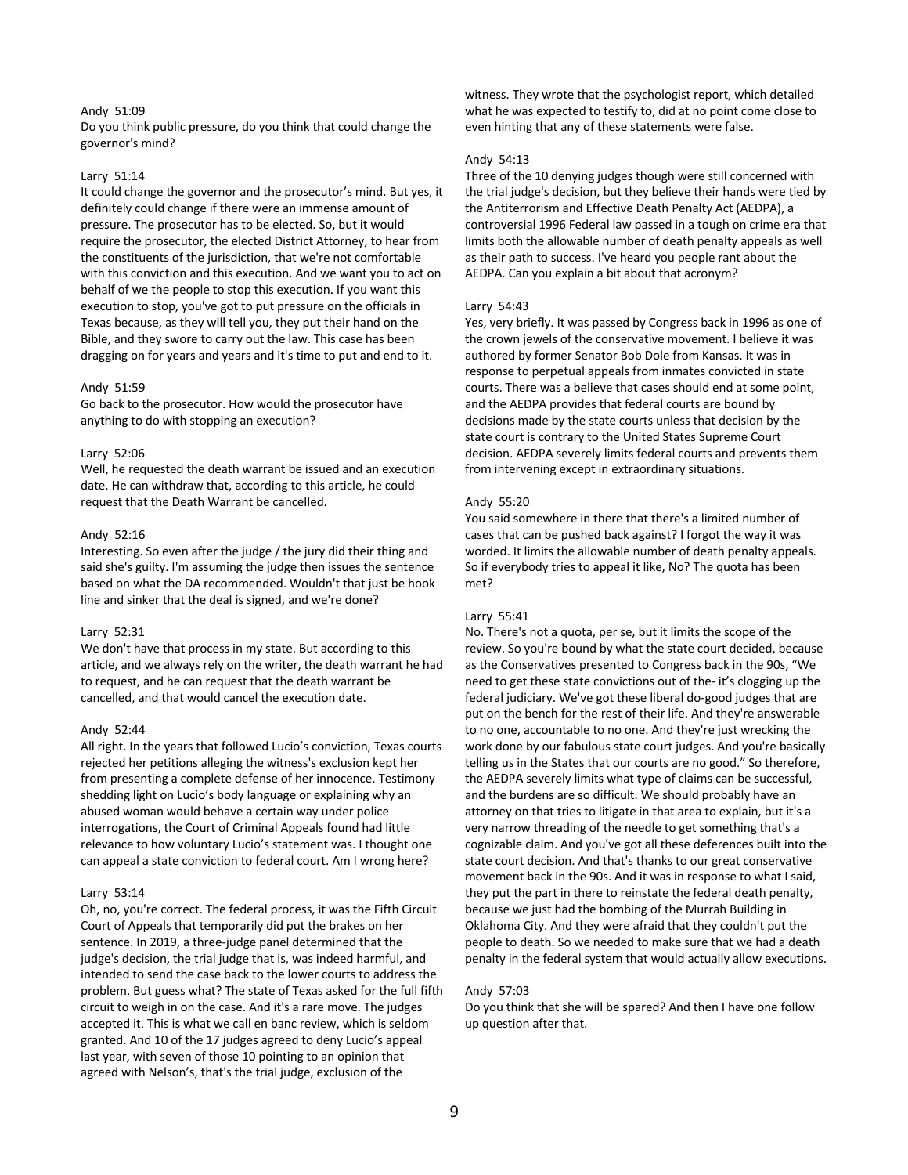### Andy 51:09

Do you think public pressure, do you think that could change the governor's mind?

## Larry 51:14

It could change the governor and the prosecutor's mind. But yes, it definitely could change if there were an immense amount of pressure. The prosecutor has to be elected. So, but it would require the prosecutor, the elected District Attorney, to hear from the constituents of the jurisdiction, that we're not comfortable with this conviction and this execution. And we want you to act on behalf of we the people to stop this execution. If you want this execution to stop, you've got to put pressure on the officials in Texas because, as they will tell you, they put their hand on the Bible, and they swore to carry out the law. This case has been dragging on for years and years and it's time to put and end to it.

#### Andy 51:59

Go back to the prosecutor. How would the prosecutor have anything to do with stopping an execution?

### Larry 52:06

Well, he requested the death warrant be issued and an execution date. He can withdraw that, according to this article, he could request that the Death Warrant be cancelled.

#### Andy 52:16

Interesting. So even after the judge / the jury did their thing and said she's guilty. I'm assuming the judge then issues the sentence based on what the DA recommended. Wouldn't that just be hook line and sinker that the deal is signed, and we're done?

#### Larry 52:31

We don't have that process in my state. But according to this article, and we always rely on the writer, the death warrant he had to request, and he can request that the death warrant be cancelled, and that would cancel the execution date.

### Andy 52:44

All right. In the years that followed Lucio's conviction, Texas courts rejected her petitions alleging the witness's exclusion kept her from presenting a complete defense of her innocence. Testimony shedding light on Lucio's body language or explaining why an abused woman would behave a certain way under police interrogations, the Court of Criminal Appeals found had little relevance to how voluntary Lucio's statement was. I thought one can appeal a state conviction to federal court. Am I wrong here?

### Larry 53:14

Oh, no, you're correct. The federal process, it was the Fifth Circuit Court of Appeals that temporarily did put the brakes on her sentence. In 2019, a three-judge panel determined that the judge's decision, the trial judge that is, was indeed harmful, and intended to send the case back to the lower courts to address the problem. But guess what? The state of Texas asked for the full fifth circuit to weigh in on the case. And it's a rare move. The judges accepted it. This is what we call en banc review, which is seldom granted. And 10 of the 17 judges agreed to deny Lucio's appeal last year, with seven of those 10 pointing to an opinion that agreed with Nelson's, that's the trial judge, exclusion of the

witness. They wrote that the psychologist report, which detailed what he was expected to testify to, did at no point come close to even hinting that any of these statements were false.

#### Andy 54:13

Three of the 10 denying judges though were still concerned with the trial judge's decision, but they believe their hands were tied by the Antiterrorism and Effective Death Penalty Act (AEDPA), a controversial 1996 Federal law passed in a tough on crime era that limits both the allowable number of death penalty appeals as well as their path to success. I've heard you people rant about the AEDPA. Can you explain a bit about that acronym?

#### Larry 54:43

Yes, very briefly. It was passed by Congress back in 1996 as one of the crown jewels of the conservative movement. I believe it was authored by former Senator Bob Dole from Kansas. It was in response to perpetual appeals from inmates convicted in state courts. There was a believe that cases should end at some point, and the AEDPA provides that federal courts are bound by decisions made by the state courts unless that decision by the state court is contrary to the United States Supreme Court decision. AEDPA severely limits federal courts and prevents them from intervening except in extraordinary situations.

#### Andy 55:20

You said somewhere in there that there's a limited number of cases that can be pushed back against? I forgot the way it was worded. It limits the allowable number of death penalty appeals. So if everybody tries to appeal it like, No? The quota has been met?

### Larry 55:41

No. There's not a quota, per se, but it limits the scope of the review. So you're bound by what the state court decided, because as the Conservatives presented to Congress back in the 90s, "We need to get these state convictions out of the- it's clogging up the federal judiciary. We've got these liberal do-good judges that are put on the bench for the rest of their life. And they're answerable to no one, accountable to no one. And they're just wrecking the work done by our fabulous state court judges. And you're basically telling us in the States that our courts are no good." So therefore, the AEDPA severely limits what type of claims can be successful, and the burdens are so difficult. We should probably have an attorney on that tries to litigate in that area to explain, but it's a very narrow threading of the needle to get something that's a cognizable claim. And you've got all these deferences built into the state court decision. And that's thanks to our great conservative movement back in the 90s. And it was in response to what I said, they put the part in there to reinstate the federal death penalty, because we just had the bombing of the Murrah Building in Oklahoma City. And they were afraid that they couldn't put the people to death. So we needed to make sure that we had a death penalty in the federal system that would actually allow executions.

#### Andy 57:03

Do you think that she will be spared? And then I have one follow up question after that.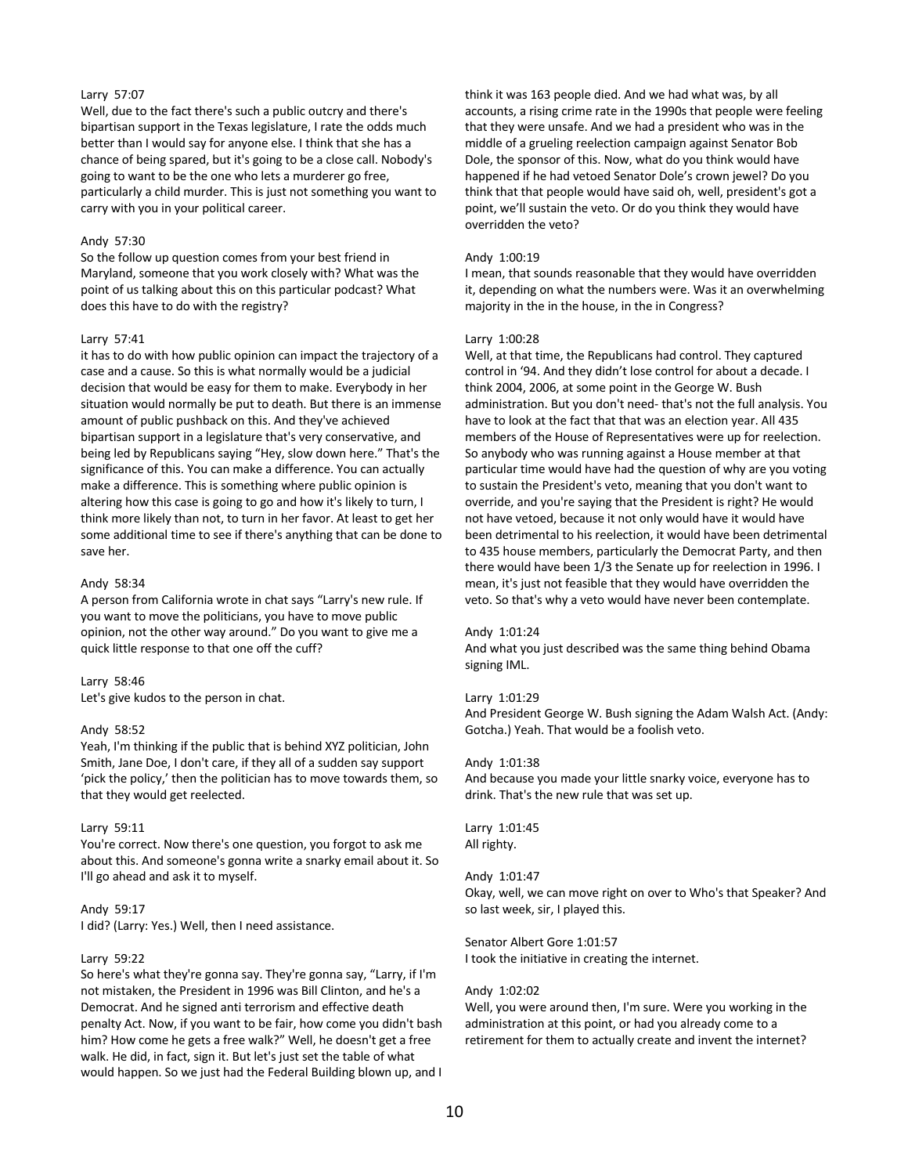# Larry 57:07

Well, due to the fact there's such a public outcry and there's bipartisan support in the Texas legislature, I rate the odds much better than I would say for anyone else. I think that she has a chance of being spared, but it's going to be a close call. Nobody's going to want to be the one who lets a murderer go free, particularly a child murder. This is just not something you want to carry with you in your political career.

# Andy 57:30

So the follow up question comes from your best friend in Maryland, someone that you work closely with? What was the point of us talking about this on this particular podcast? What does this have to do with the registry?

### Larry 57:41

it has to do with how public opinion can impact the trajectory of a case and a cause. So this is what normally would be a judicial decision that would be easy for them to make. Everybody in her situation would normally be put to death. But there is an immense amount of public pushback on this. And they've achieved bipartisan support in a legislature that's very conservative, and being led by Republicans saying "Hey, slow down here." That's the significance of this. You can make a difference. You can actually make a difference. This is something where public opinion is altering how this case is going to go and how it's likely to turn, I think more likely than not, to turn in her favor. At least to get her some additional time to see if there's anything that can be done to save her.

### Andy 58:34

A person from California wrote in chat says "Larry's new rule. If you want to move the politicians, you have to move public opinion, not the other way around." Do you want to give me a quick little response to that one off the cuff?

#### Larry 58:46

Let's give kudos to the person in chat.

#### Andy 58:52

Yeah, I'm thinking if the public that is behind XYZ politician, John Smith, Jane Doe, I don't care, if they all of a sudden say support 'pick the policy,' then the politician has to move towards them, so that they would get reelected.

### Larry 59:11

You're correct. Now there's one question, you forgot to ask me about this. And someone's gonna write a snarky email about it. So I'll go ahead and ask it to myself.

# Andy 59:17

I did? (Larry: Yes.) Well, then I need assistance.

#### Larry 59:22

So here's what they're gonna say. They're gonna say, "Larry, if I'm not mistaken, the President in 1996 was Bill Clinton, and he's a Democrat. And he signed anti terrorism and effective death penalty Act. Now, if you want to be fair, how come you didn't bash him? How come he gets a free walk?" Well, he doesn't get a free walk. He did, in fact, sign it. But let's just set the table of what would happen. So we just had the Federal Building blown up, and I

think it was 163 people died. And we had what was, by all accounts, a rising crime rate in the 1990s that people were feeling that they were unsafe. And we had a president who was in the middle of a grueling reelection campaign against Senator Bob Dole, the sponsor of this. Now, what do you think would have happened if he had vetoed Senator Dole's crown jewel? Do you think that that people would have said oh, well, president's got a point, we'll sustain the veto. Or do you think they would have overridden the veto?

### Andy 1:00:19

I mean, that sounds reasonable that they would have overridden it, depending on what the numbers were. Was it an overwhelming majority in the in the house, in the in Congress?

#### Larry 1:00:28

Well, at that time, the Republicans had control. They captured control in '94. And they didn't lose control for about a decade. I think 2004, 2006, at some point in the George W. Bush administration. But you don't need- that's not the full analysis. You have to look at the fact that that was an election year. All 435 members of the House of Representatives were up for reelection. So anybody who was running against a House member at that particular time would have had the question of why are you voting to sustain the President's veto, meaning that you don't want to override, and you're saying that the President is right? He would not have vetoed, because it not only would have it would have been detrimental to his reelection, it would have been detrimental to 435 house members, particularly the Democrat Party, and then there would have been 1/3 the Senate up for reelection in 1996. I mean, it's just not feasible that they would have overridden the veto. So that's why a veto would have never been contemplate.

#### Andy 1:01:24

And what you just described was the same thing behind Obama signing IML.

## Larry 1:01:29

And President George W. Bush signing the Adam Walsh Act. (Andy: Gotcha.) Yeah. That would be a foolish veto.

### Andy 1:01:38

And because you made your little snarky voice, everyone has to drink. That's the new rule that was set up.

### Larry 1:01:45 All righty.

### Andy 1:01:47

Okay, well, we can move right on over to Who's that Speaker? And so last week, sir, I played this.

# Senator Albert Gore 1:01:57

I took the initiative in creating the internet.

#### Andy 1:02:02

Well, you were around then, I'm sure. Were you working in the administration at this point, or had you already come to a retirement for them to actually create and invent the internet?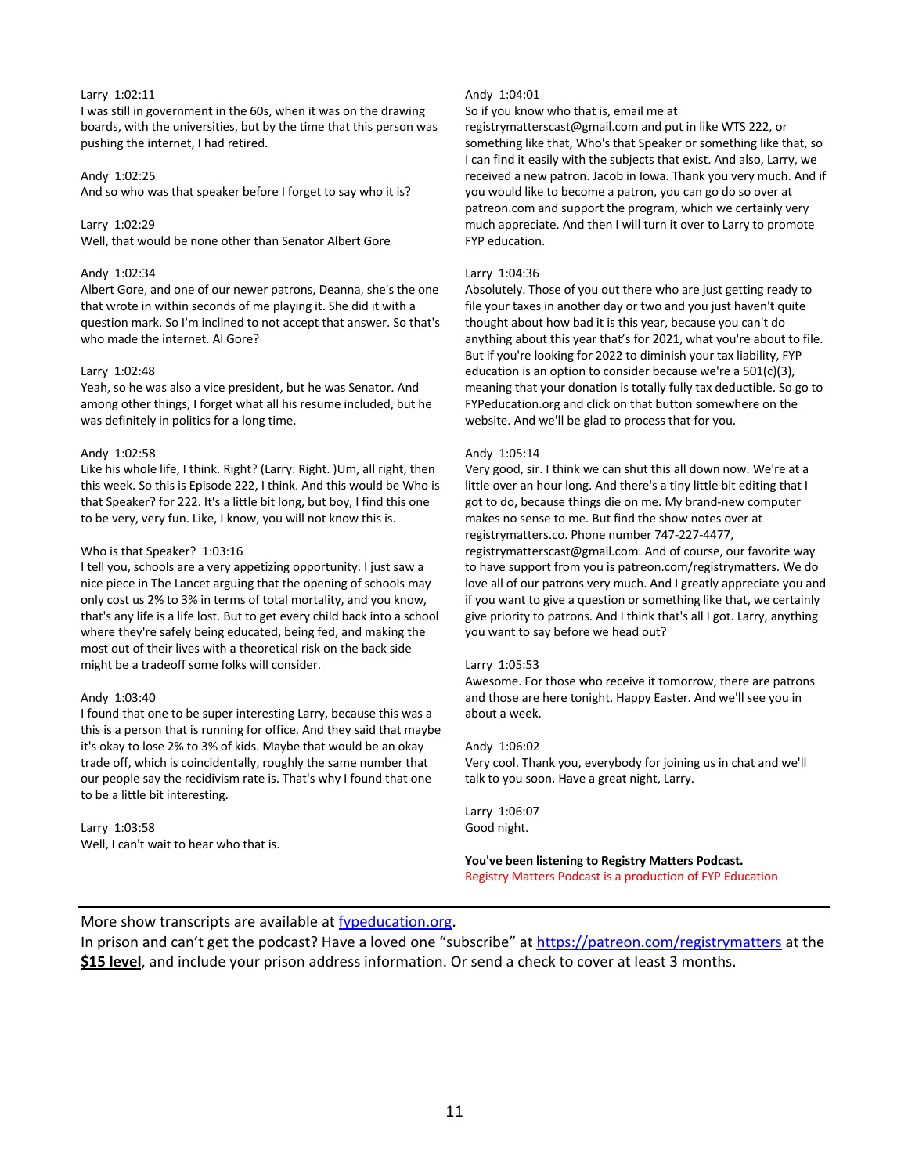# Larry 1:02:11

I was still in government in the 60s, when it was on the drawing boards, with the universities, but by the time that this person was pushing the internet, I had retired.

# Andy 1:02:25

And so who was that speaker before I forget to say who it is?

Larry 1:02:29

Well, that would be none other than Senator Albert Gore

# Andy 1:02:34

Albert Gore, and one of our newer patrons, Deanna, she's the one that wrote in within seconds of me playing it. She did it with a question mark. So I'm inclined to not accept that answer. So that's who made the internet. Al Gore?

# Larry 1:02:48

Yeah, so he was also a vice president, but he was Senator. And among other things, I forget what all his resume included, but he was definitely in politics for a long time.

# Andy 1:02:58

Like his whole life, I think. Right? (Larry: Right. )Um, all right, then this week. So this is Episode 222, I think. And this would be Who is that Speaker? for 222. It's a little bit long, but boy, I find this one to be very, very fun. Like, I know, you will not know this is.

# Who is that Speaker? 1:03:16

I tell you, schools are a very appetizing opportunity. I just saw a nice piece in The Lancet arguing that the opening of schools may only cost us 2% to 3% in terms of total mortality, and you know, that's any life is a life lost. But to get every child back into a school where they're safely being educated, being fed, and making the most out of their lives with a theoretical risk on the back side might be a tradeoff some folks will consider.

# Andy 1:03:40

I found that one to be super interesting Larry, because this was a this is a person that is running for office. And they said that maybe it's okay to lose 2% to 3% of kids. Maybe that would be an okay trade off, which is coincidentally, roughly the same number that our people say the recidivism rate is. That's why I found that one to be a little bit interesting.

Larry 1:03:58 Well, I can't wait to hear who that is.

# Andy 1:04:01

So if you know who that is, email me at

registrymatterscast@gmail.com and put in like WTS 222, or something like that, Who's that Speaker or something like that, so I can find it easily with the subjects that exist. And also, Larry, we received a new patron. Jacob in Iowa. Thank you very much. And if you would like to become a patron, you can go do so over at patreon.com and support the program, which we certainly very much appreciate. And then I will turn it over to Larry to promote FYP education.

# Larry 1:04:36

Absolutely. Those of you out there who are just getting ready to file your taxes in another day or two and you just haven't quite thought about how bad it is this year, because you can't do anything about this year that's for 2021, what you're about to file. But if you're looking for 2022 to diminish your tax liability, FYP education is an option to consider because we're a 501(c)(3), meaning that your donation is totally fully tax deductible. So go to FYPeducation.org and click on that button somewhere on the website. And we'll be glad to process that for you.

# Andy 1:05:14

Very good, sir. I think we can shut this all down now. We're at a little over an hour long. And there's a tiny little bit editing that I got to do, because things die on me. My brand-new computer makes no sense to me. But find the show notes over at registrymatters.co. Phone number 747-227-4477, registrymatterscast@gmail.com. And of course, our favorite way to have support from you is patreon.com/registrymatters. We do love all of our patrons very much. And I greatly appreciate you and if you want to give a question or something like that, we certainly give priority to patrons. And I think that's all I got. Larry, anything you want to say before we head out?

# Larry 1:05:53

Awesome. For those who receive it tomorrow, there are patrons and those are here tonight. Happy Easter. And we'll see you in about a week.

# Andy 1:06:02

Very cool. Thank you, everybody for joining us in chat and we'll talk to you soon. Have a great night, Larry.

Larry 1:06:07 Good night.

**You've been listening to Registry Matters Podcast.** Registry Matters Podcast is a production of FYP Education

# More show transcripts are available at fypeducation.org.

In prison and can't get the podcast? Have a loved one "subscribe" at https://patreon.com/registrymatters at the **\$15 level**, and include your prison address information. Or send a check to cover at least 3 months.